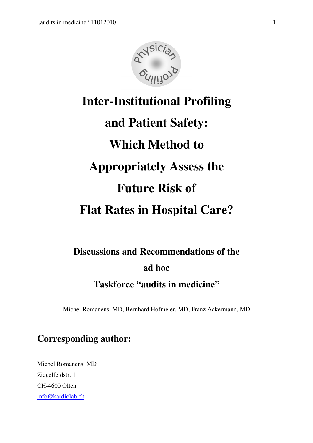

# **Inter-Institutional Profiling and Patient Safety: Which Method to Appropriately Assess the Future Risk of Flat Rates in Hospital Care?**

# **Discussions and Recommendations of the ad hoc Taskforce "audits in medicine"**

Michel Romanens, MD, Bernhard Hofmeier, MD, Franz Ackermann, MD

## **Corresponding author:**

Michel Romanens, MD Ziegelfeldstr. 1 CH-4600 Olten info@kardiolab.ch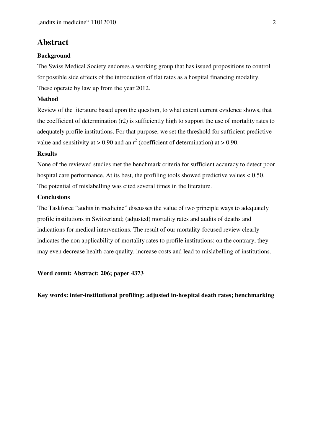## **Abstract**

#### **Background**

The Swiss Medical Society endorses a working group that has issued propositions to control for possible side effects of the introduction of flat rates as a hospital financing modality. These operate by law up from the year 2012.

#### **Method**

Review of the literature based upon the question, to what extent current evidence shows, that the coefficient of determination (r2) is sufficiently high to support the use of mortality rates to adequately profile institutions. For that purpose, we set the threshold for sufficient predictive value and sensitivity at  $> 0.90$  and an  $r^2$  (coefficient of determination) at  $> 0.90$ .

#### **Results**

None of the reviewed studies met the benchmark criteria for sufficient accuracy to detect poor hospital care performance. At its best, the profiling tools showed predictive values < 0.50. The potential of mislabelling was cited several times in the literature.

#### **Conclusions**

The Taskforce "audits in medicine" discusses the value of two principle ways to adequately profile institutions in Switzerland; (adjusted) mortality rates and audits of deaths and indications for medical interventions. The result of our mortality-focused review clearly indicates the non applicability of mortality rates to profile institutions; on the contrary, they may even decrease health care quality, increase costs and lead to mislabelling of institutions.

#### **Word count: Abstract: 206; paper 4373**

**Key words: inter-institutional profiling; adjusted in-hospital death rates; benchmarking**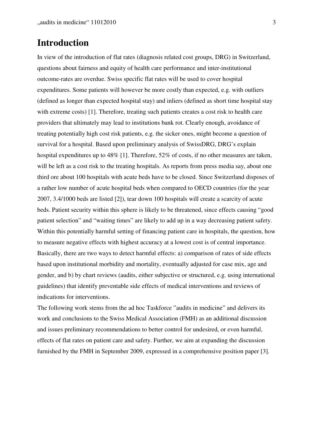## **Introduction**

In view of the introduction of flat rates (diagnosis related cost groups, DRG) in Switzerland, questions about fairness and equity of health care performance and inter-institutional outcome-rates are overdue. Swiss specific flat rates will be used to cover hospital expenditures. Some patients will however be more costly than expected, e.g. with outliers (defined as longer than expected hospital stay) and inliers (defined as short time hospital stay with extreme costs) [1]. Therefore, treating such patients creates a cost risk to health care providers that ultimately may lead to institutions bank rot. Clearly enough, avoidance of treating potentially high cost risk patients, e.g. the sicker ones, might become a question of survival for a hospital. Based upon preliminary analysis of SwissDRG, DRG's explain hospital expenditures up to 48% [1]. Therefore, 52% of costs, if no other measures are taken, will be left as a cost risk to the treating hospitals. As reports from press media say, about one third ore about 100 hospitals with acute beds have to be closed. Since Switzerland disposes of a rather low number of acute hospital beds when compared to OECD countries (for the year 2007, 3.4/1000 beds are listed [2]), tear down 100 hospitals will create a scarcity of acute beds. Patient security within this sphere is likely to be threatened, since effects causing "good patient selection" and "waiting times" are likely to add up in a way decreasing patient safety. Within this potentially harmful setting of financing patient care in hospitals, the question, how to measure negative effects with highest accuracy at a lowest cost is of central importance. Basically, there are two ways to detect harmful effects: a) comparison of rates of side effects based upon institutional morbidity and mortality, eventually adjusted for case mix, age and gender, and b) by chart reviews (audits, either subjective or structured, e.g. using international guidelines) that identify preventable side effects of medical interventions and reviews of indications for interventions.

The following work stems from the ad hoc Taskforce "audits in medicine" and delivers its work and conclusions to the Swiss Medical Association (FMH) as an additional discussion and issues preliminary recommendations to better control for undesired, or even harmful, effects of flat rates on patient care and safety. Further, we aim at expanding the discussion furnished by the FMH in September 2009, expressed in a comprehensive position paper [3].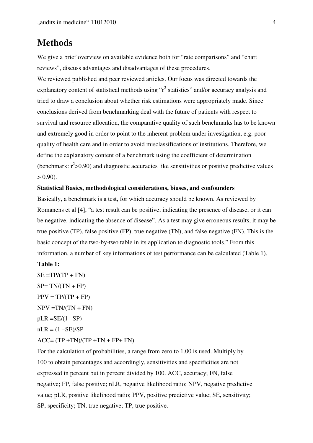## **Methods**

We give a brief overview on available evidence both for "rate comparisons" and "chart" reviews", discuss advantages and disadvantages of these procedures.

We reviewed published and peer reviewed articles. Our focus was directed towards the explanatory content of statistical methods using " $r^2$  statistics" and/or accuracy analysis and tried to draw a conclusion about whether risk estimations were appropriately made. Since conclusions derived from benchmarking deal with the future of patients with respect to survival and resource allocation, the comparative quality of such benchmarks has to be known and extremely good in order to point to the inherent problem under investigation, e.g. poor quality of health care and in order to avoid misclassifications of institutions. Therefore, we define the explanatory content of a benchmark using the coefficient of determination (benchmark:  $r^2 > 0.90$ ) and diagnostic accuracies like sensitivities or positive predictive values  $> 0.90$ ).

#### **Statistical Basics, methodological considerations, biases, and confounders**

Basically, a benchmark is a test, for which accuracy should be known. As reviewed by Romanens et al [4], "a test result can be positive; indicating the presence of disease, or it can be negative, indicating the absence of disease". As a test may give erroneous results, it may be true positive (TP), false positive (FP), true negative (TN), and false negative (FN). This is the basic concept of the two-by-two table in its application to diagnostic tools." From this information, a number of key informations of test performance can be calculated (Table 1).

#### **Table 1:**

 $SE = TP/(TP + FN)$  $SP = TN/(TN + FP)$  $PPV = TP/(TP + FP)$  $NPV = TN/(TN + FN)$  $pLR = SE/(1 - SP)$  $nLR = (1 - SE)/SP$  $ACC = (TP + TN)/(TP + TN + FP + FN)$ 

For the calculation of probabilities, a range from zero to 1.00 is used. Multiply by 100 to obtain percentages and accordingly, sensitivities and specificities are not expressed in percent but in percent divided by 100. ACC, accuracy; FN, false negative; FP, false positive; nLR, negative likelihood ratio; NPV, negative predictive value; pLR, positive likelihood ratio; PPV, positive predictive value; SE, sensitivity; SP, specificity; TN, true negative; TP, true positive.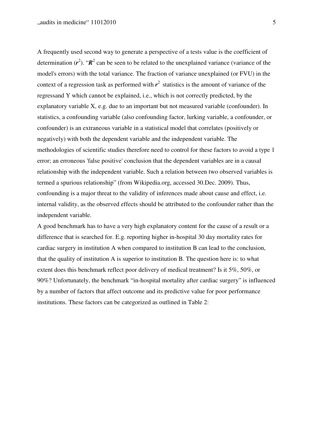A frequently used second way to generate a perspective of a tests value is the coefficient of determination  $(r^2)$ . " $\mathbb{R}^2$  can be seen to be related to the unexplained variance (variance of the model's errors) with the total variance. The fraction of variance unexplained (or FVU) in the context of a regression task as performed with  $r^2$  statistics is the amount of variance of the regressand Y which cannot be explained, i.e., which is not correctly predicted, by the explanatory variable X, e.g. due to an important but not measured variable (confounder). In statistics, a confounding variable (also confounding factor, lurking variable, a confounder, or confounder) is an extraneous variable in a statistical model that correlates (positively or negatively) with both the dependent variable and the independent variable. The methodologies of scientific studies therefore need to control for these factors to avoid a type 1 error; an erroneous 'false positive' conclusion that the dependent variables are in a causal relationship with the independent variable. Such a relation between two observed variables is termed a spurious relationship" (from Wikipedia.org, accessed 30.Dec. 2009). Thus, confounding is a major threat to the validity of inferences made about cause and effect, i.e. internal validity, as the observed effects should be attributed to the confounder rather than the independent variable.

A good benchmark has to have a very high explanatory content for the cause of a result or a difference that is searched for. E.g. reporting higher in-hospital 30 day mortality rates for cardiac surgery in institution A when compared to institution B can lead to the conclusion, that the quality of institution A is superior to institution B. The question here is: to what extent does this benchmark reflect poor delivery of medical treatment? Is it 5%, 50%, or 90%? Unfortunately, the benchmark "in-hospital mortality after cardiac surgery" is influenced by a number of factors that affect outcome and its predictive value for poor performance institutions. These factors can be categorized as outlined in Table 2: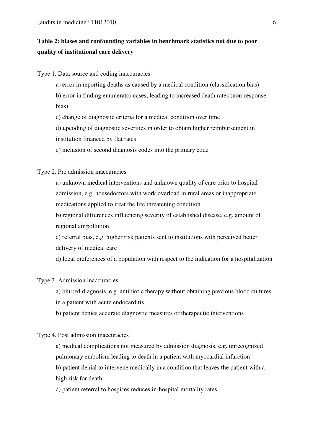## **Table 2: biases and confounding variables in benchmark statistics not due to poor quality of institutional care delivery**

### Type 1. Data source and coding inaccuracies

- a) error in reporting deaths as caused by a medical condition (classification bias)
- b) error in finding enumerator cases, leading to increased death rates (non-response bias)
- c) change of diagnostic criteria for a medical condition over time
- d) upcoding of diagnostic severities in order to obtain higher reimbursement in
- institution financed by flat rates
- e) inclusion of second diagnosis codes into the primary code

## Type 2. Pre admission inaccuracies

a) unknown medical interventions and unknown quality of care prior to hospital admission, e.g. housedoctors with work overload in rural areas or inappropriate medications applied to treat the life threatening condition

b) regional differences influencing severity of established disease, e.g. amount of regional air pollution

c) referral bias, e.g. higher risk patients sent to institutions with perceived better delivery of medical care

d) local preferences of a population with respect to the indication for a hospitalization

## Type 3. Admission inaccuracies

- a) blurred diagnosis, e.g. antibiotic therapy without obtaining previous blood cultures in a patient with acute endocarditis
- b) patient denies accurate diagnostic measures or therapeutic interventions

## Type 4. Post admission inaccuracies

- a) medical complications not measured by admission diagnosis, e.g. unrecognized pulmonary embolism leading to death in a patient with myocardial infarction b) patient denial to intervene medically in a condition that leaves the patient with a high risk for death.
- c) patient referral to hospices reduces in-hospital mortality rates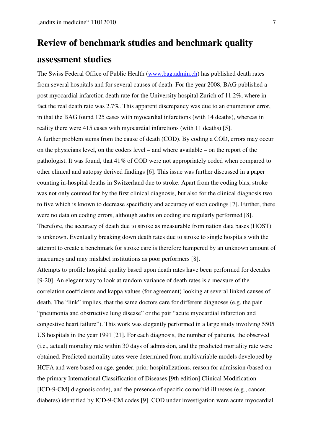## **Review of benchmark studies and benchmark quality assessment studies**

The Swiss Federal Office of Public Health (www.bag.admin.ch) has published death rates from several hospitals and for several causes of death. For the year 2008, BAG published a post myocardial infarction death rate for the University hospital Zurich of 11.2%, where in fact the real death rate was 2.7%. This apparent discrepancy was due to an enumerator error, in that the BAG found 125 cases with myocardial infarctions (with 14 deaths), whereas in reality there were 415 cases with myocardial infarctions (with 11 deaths) [5]. A further problem stems from the cause of death (COD). By coding a COD, errors may occur on the physicians level, on the coders level – and where available – on the report of the pathologist. It was found, that 41% of COD were not appropriately coded when compared to other clinical and autopsy derived findings [6]. This issue was further discussed in a paper counting in-hospital deaths in Switzerland due to stroke. Apart from the coding bias, stroke was not only counted for by the first clinical diagnosis, but also for the clinical diagnosis two to five which is known to decrease specificity and accuracy of such codings [7]. Further, there were no data on coding errors, although audits on coding are regularly performed [8]. Therefore, the accuracy of death due to stroke as measurable from nation data bases (HOST) is unknown. Eventually breaking down death rates due to stroke to single hospitals with the attempt to create a benchmark for stroke care is therefore hampered by an unknown amount of inaccuracy and may mislabel institutions as poor performers [8].

Attempts to profile hospital quality based upon death rates have been performed for decades [9-20]. An elegant way to look at random variance of death rates is a measure of the correlation coefficients and kappa values (for agreement) looking at several linked causes of death. The "link" implies, that the same doctors care for different diagnoses (e.g. the pair "pneumonia and obstructive lung disease" or the pair "acute myocardial infarction and congestive heart failure"). This work was elegantly performed in a large study involving 5505 US hospitals in the year 1991 [21]. For each diagnosis, the number of patients, the observed (i.e., actual) mortality rate within 30 days of admission, and the predicted mortality rate were obtained. Predicted mortality rates were determined from multivariable models developed by HCFA and were based on age, gender, prior hospitalizations, reason for admission (based on the primary International Classification of Diseases [9th edition] Clinical Modification [ICD-9-CM] diagnosis code), and the presence of specific comorbid illnesses (e.g., cancer, diabetes) identified by ICD-9-CM codes [9]. COD under investigation were acute myocardial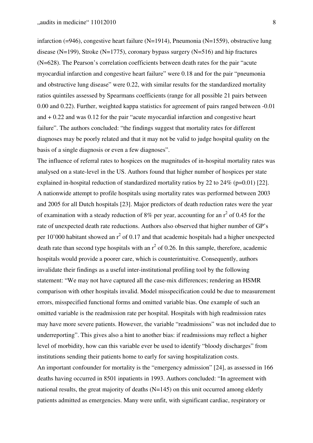infarction (=946), congestive heart failure (N=1914), Pneumonia (N=1559), obstructive lung disease (N=199), Stroke (N=1775), coronary bypass surgery (N=516) and hip fractures (N=628). The Pearson's correlation coefficients between death rates for the pair "acute myocardial infarction and congestive heart failure" were 0.18 and for the pair "pneumonia and obstructive lung disease" were 0.22, with similar results for the standardized mortality ratios quintiles assessed by Spearmans coefficients (range for all possible 21 pairs between 0.00 and 0.22). Further, weighted kappa statistics for agreement of pairs ranged between -0.01 and + 0.22 and was 0.12 for the pair "acute myocardial infarction and congestive heart failure". The authors concluded: "the findings suggest that mortality rates for different diagnoses may be poorly related and that it may not be valid to judge hospital quality on the basis of a single diagnosis or even a few diagnoses".

The influence of referral rates to hospices on the magnitudes of in-hospital mortality rates was analysed on a state-level in the US. Authors found that higher number of hospices per state explained in-hospital reduction of standardized mortality ratios by 22 to 24\% (p=0.01) [22]. A nationwide attempt to profile hospitals using mortality rates was performed between 2003 and 2005 for all Dutch hospitals [23]. Major predictors of death reduction rates were the year of examination with a steady reduction of 8% per year, accounting for an  $r^2$  of 0.45 for the rate of unexpected death rate reductions. Authors also observed that higher number of GP's per 10'000 habitant showed an  $r^2$  of 0.17 and that academic hospitals had a higher unexpected death rate than second type hospitals with an  $r^2$  of 0.26. In this sample, therefore, academic hospitals would provide a poorer care, which is counterintuitive. Consequently, authors invalidate their findings as a useful inter-institutional profiling tool by the following statement: "We may not have captured all the case-mix differences; rendering an HSMR comparison with other hospitals invalid. Model misspecification could be due to measurement errors, misspecified functional forms and omitted variable bias. One example of such an omitted variable is the readmission rate per hospital. Hospitals with high readmission rates may have more severe patients. However, the variable "readmissions" was not included due to underreporting". This gives also a hint to another bias: if readmissions may reflect a higher level of morbidity, how can this variable ever be used to identify "bloody discharges" from institutions sending their patients home to early for saving hospitalization costs. An important confounder for mortality is the "emergency admission" [24], as assessed in 166 deaths having occurred in 8501 inpatients in 1993. Authors concluded: "In agreement with national results, the great majority of deaths (N=145) on this unit occurred among elderly patients admitted as emergencies. Many were unfit, with significant cardiac, respiratory or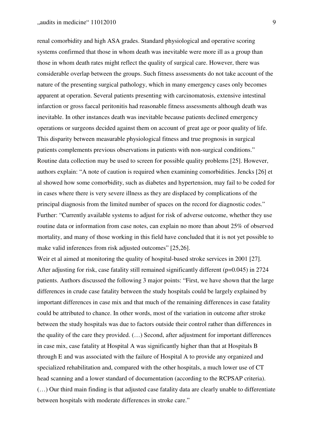renal comorbidity and high ASA grades. Standard physiological and operative scoring systems confirmed that those in whom death was inevitable were more ill as a group than those in whom death rates might reflect the quality of surgical care. However, there was considerable overlap between the groups. Such fitness assessments do not take account of the nature of the presenting surgical pathology, which in many emergency cases only becomes apparent at operation. Several patients presenting with carcinomatosis, extensive intestinal infarction or gross faecal peritonitis had reasonable fitness assessments although death was inevitable. In other instances death was inevitable because patients declined emergency operations or surgeons decided against them on account of great age or poor quality of life. This disparity between measurable physiological fitness and true prognosis in surgical patients complements previous observations in patients with non-surgical conditions." Routine data collection may be used to screen for possible quality problems [25]. However, authors explain: "A note of caution is required when examining comorbidities. Jencks [26] et al showed how some comorbidity, such as diabetes and hypertension, may fail to be coded for in cases where there is very severe illness as they are displaced by complications of the principal diagnosis from the limited number of spaces on the record for diagnostic codes." Further: "Currently available systems to adjust for risk of adverse outcome, whether they use routine data or information from case notes, can explain no more than about 25% of observed mortality, and many of those working in this field have concluded that it is not yet possible to make valid inferences from risk adjusted outcomes" [25,26].

Weir et al aimed at monitoring the quality of hospital-based stroke services in 2001 [27]. After adjusting for risk, case fatality still remained significantly different (p=0.045) in 2724 patients. Authors discussed the following 3 major points: "First, we have shown that the large differences in crude case fatality between the study hospitals could be largely explained by important differences in case mix and that much of the remaining differences in case fatality could be attributed to chance. In other words, most of the variation in outcome after stroke between the study hospitals was due to factors outside their control rather than differences in the quality of the care they provided. (…) Second, after adjustment for important differences in case mix, case fatality at Hospital A was significantly higher than that at Hospitals B through E and was associated with the failure of Hospital A to provide any organized and specialized rehabilitation and, compared with the other hospitals, a much lower use of CT head scanning and a lower standard of documentation (according to the RCPSAP criteria). (…) Our third main finding is that adjusted case fatality data are clearly unable to differentiate between hospitals with moderate differences in stroke care."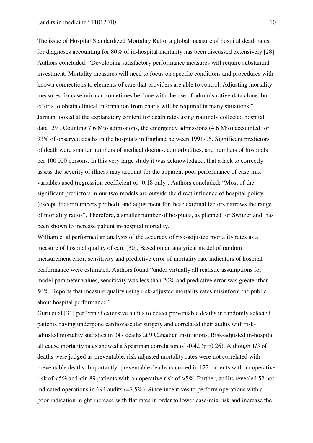The issue of Hospital Standardized Mortality Ratio, a global measure of hospital death rates for diagnoses accounting for 80% of in-hospital mortality has been discussed extensively [28]. Authors concluded: "Developing satisfactory performance measures will require substantial investment. Mortality measures will need to focus on specific conditions and procedures with known connections to elements of care that providers are able to control. Adjusting mortality measures for case mix can sometimes be done with the use of administrative data alone, but efforts to obtain clinical information from charts will be required in many situations." Jarman looked at the explanatory content for death rates using routinely collected hospital data [29]. Counting 7.6 Mio admissions, the emergency admissions (4.6 Mio) accounted for 93% of observed deaths in the hospitals in England between 1991-95. Significant predictors of death were smaller numbers of medical doctors, comorbidities, and numbers of hospitals per 100'000 persons. In this very large study it was acknowledged, that a lack to correctly assess the severity of illness may account for the apparent poor performance of case-mix variables used (regression coefficient of -0.18 only). Authors concluded: "Most of the significant predictors in our two models are outside the direct influence of hospital policy (except doctor numbers per bed), and adjustment for these external factors narrows the range of mortality ratios". Therefore, a smaller number of hospitals, as planned for Switzerland, has been shown to increase patient in-hospital mortality.

William et al performed an analysis of the accuracy of risk-adjusted mortality rates as a measure of hospital quality of care [30]. Based on an analytical model of random measurement error, sensitivity and predictive error of mortality rate indicators of hospital performance were estimated. Authors found "under virtually all realistic assumptions for model parameter values, sensitivity was less than 20% and predictive error was greater than 50%. Reports that measure quality using risk-adjusted mortality rates misinform the public about hospital performance."

Guru et al [31] performed extensive audits to detect preventable deaths in randomly selected patients having undergone cardiovascular surgery and correlated their audits with riskadjusted mortality statistics in 347 deaths at 9 Canadian institutions. Risk-adjusted in-hospital all cause mortality rates showed a Spearman correlation of -0.42 (p=0.26). Although 1/3 of deaths were judged as preventable, risk adjusted mortality rates were not correlated with preventable deaths. Importantly, preventable deaths occurred in 122 patients with an operative risk of <5% and <in 89 patients with an operative risk of >5%. Further, audits revealed 52 not indicated operations in 694 audits  $(=7.5\%)$ . Since incentives to perform operations with a poor indication might increase with flat rates in order to lower case-mix risk and increase the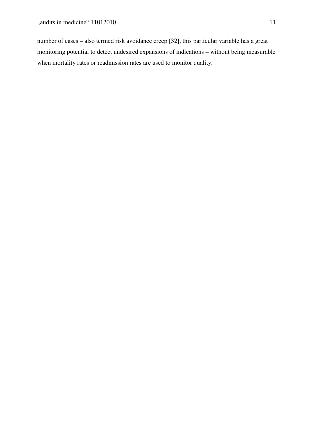number of cases – also termed risk avoidance creep [32], this particular variable has a great monitoring potential to detect undesired expansions of indications – without being measurable when mortality rates or readmission rates are used to monitor quality.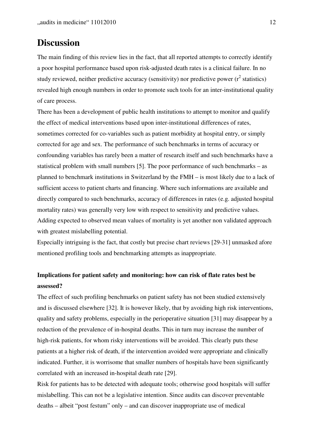## **Discussion**

The main finding of this review lies in the fact, that all reported attempts to correctly identify a poor hospital performance based upon risk-adjusted death rates is a clinical failure. In no study reviewed, neither predictive accuracy (sensitivity) nor predictive power  $(r^2$  statistics) revealed high enough numbers in order to promote such tools for an inter-institutional quality of care process.

There has been a development of public health institutions to attempt to monitor and qualify the effect of medical interventions based upon inter-institutional differences of rates, sometimes corrected for co-variables such as patient morbidity at hospital entry, or simply corrected for age and sex. The performance of such benchmarks in terms of accuracy or confounding variables has rarely been a matter of research itself and such benchmarks have a statistical problem with small numbers [5]. The poor performance of such benchmarks – as planned to benchmark institutions in Switzerland by the FMH – is most likely due to a lack of sufficient access to patient charts and financing. Where such informations are available and directly compared to such benchmarks, accuracy of differences in rates (e.g. adjusted hospital mortality rates) was generally very low with respect to sensitivity and predictive values. Adding expected to observed mean values of mortality is yet another non validated approach with greatest mislabelling potential.

Especially intriguing is the fact, that costly but precise chart reviews [29-31] unmasked afore mentioned profiling tools and benchmarking attempts as inappropriate.

## **Implications for patient safety and monitoring: how can risk of flate rates best be assessed?**

The effect of such profiling benchmarks on patient safety has not been studied extensively and is discussed elsewhere [32]. It is however likely, that by avoiding high risk interventions, quality and safety problems, especially in the perioperative situation [31] may disappear by a reduction of the prevalence of in-hospital deaths. This in turn may increase the number of high-risk patients, for whom risky interventions will be avoided. This clearly puts these patients at a higher risk of death, if the intervention avoided were appropriate and clinically indicated. Further, it is worrisome that smaller numbers of hospitals have been significantly correlated with an increased in-hospital death rate [29].

Risk for patients has to be detected with adequate tools; otherwise good hospitals will suffer mislabelling. This can not be a legislative intention. Since audits can discover preventable deaths – albeit "post festum" only – and can discover inappropriate use of medical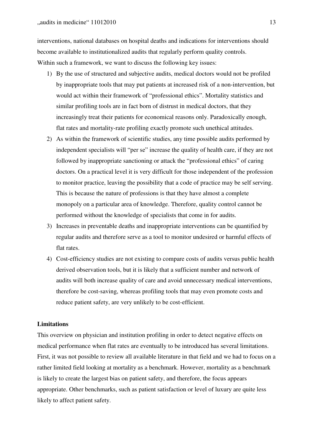interventions, national databases on hospital deaths and indications for interventions should become available to institutionalized audits that regularly perform quality controls. Within such a framework, we want to discuss the following key issues:

- 1) By the use of structured and subjective audits, medical doctors would not be profiled by inappropriate tools that may put patients at increased risk of a non-intervention, but would act within their framework of "professional ethics". Mortality statistics and similar profiling tools are in fact born of distrust in medical doctors, that they increasingly treat their patients for economical reasons only. Paradoxically enough, flat rates and mortality-rate profiling exactly promote such unethical attitudes.
- 2) As within the framework of scientific studies, any time possible audits performed by independent specialists will "per se" increase the quality of health care, if they are not followed by inappropriate sanctioning or attack the "professional ethics" of caring doctors. On a practical level it is very difficult for those independent of the profession to monitor practice, leaving the possibility that a code of practice may be self serving. This is because the nature of professions is that they have almost a complete monopoly on a particular area of knowledge. Therefore, quality control cannot be performed without the knowledge of specialists that come in for audits.
- 3) Increases in preventable deaths and inappropriate interventions can be quantified by regular audits and therefore serve as a tool to monitor undesired or harmful effects of flat rates.
- 4) Cost-efficiency studies are not existing to compare costs of audits versus public health derived observation tools, but it is likely that a sufficient number and network of audits will both increase quality of care and avoid unnecessary medical interventions, therefore be cost-saving, whereas profiling tools that may even promote costs and reduce patient safety, are very unlikely to be cost-efficient.

#### **Limitations**

This overview on physician and institution profiling in order to detect negative effects on medical performance when flat rates are eventually to be introduced has several limitations. First, it was not possible to review all available literature in that field and we had to focus on a rather limited field looking at mortality as a benchmark. However, mortality as a benchmark is likely to create the largest bias on patient safety, and therefore, the focus appears appropriate. Other benchmarks, such as patient satisfaction or level of luxury are quite less likely to affect patient safety.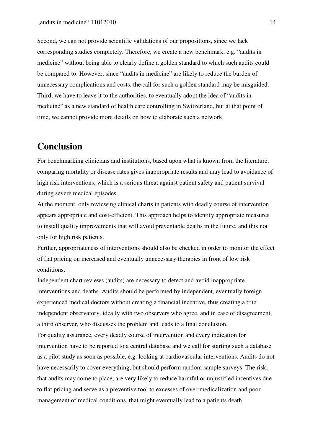Second, we can not provide scientific validations of our propositions, since we lack corresponding studies completely. Therefore, we create a new benchmark, e.g. "audits in medicine" without being able to clearly define a golden standard to which such audits could be compared to. However, since "audits in medicine" are likely to reduce the burden of unnecessary complications and costs, the call for such a golden standard may be misguided. Third, we have to leave it to the authorities, to eventually adopt the idea of "audits in medicine" as a new standard of health care controlling in Switzerland, but at that point of time, we cannot provide more details on how to elaborate such a network.

## **Conclusion**

For benchmarking clinicians and institutions, based upon what is known from the literature, comparing mortality or disease rates gives inappropriate results and may lead to avoidance of high risk interventions, which is a serious threat against patient safety and patient survival during severe medical episodes.

At the moment, only reviewing clinical charts in patients with deadly course of intervention appears appropriate and cost-efficient. This approach helps to identify appropriate measures to install quality improvements that will avoid preventable deaths in the future, and this not only for high risk patients.

Further, appropriateness of interventions should also be checked in order to monitor the effect of flat pricing on increased and eventually unnecessary therapies in front of low risk conditions.

Independent chart reviews (audits) are necessary to detect and avoid inappropriate interventions and deaths. Audits should be performed by independent, eventually foreign experienced medical doctors without creating a financial incentive, thus creating a true independent observatory, ideally with two observers who agree, and in case of disagreement, a third observer, who discusses the problem and leads to a final conclusion. For quality assurance, every deadly course of intervention and every indication for intervention have to be reported to a central database and we call for starting such a database as a pilot study as soon as possible, e.g. looking at cardiovascular interventions. Audits do not have necessarily to cover everything, but should perform random sample surveys. The risk, that audits may come to place, are very likely to reduce harmful or unjustified incentives due to flat pricing and serve as a preventive tool to excesses of over-medicalization and poor management of medical conditions, that might eventually lead to a patients death.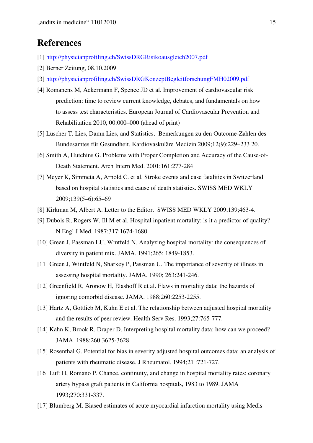## **References**

- [1] http://physicianprofiling.ch/SwissDRGRisikoausgleich2007.pdf
- [2] Berner Zeitung, 08.10.2009
- [3] http://physicianprofiling.ch/SwissDRGKonzeptBegleitforschungFMH02009.pdf
- [4] Romanens M, Ackermann F, Spence JD et al. Improvement of cardiovascular risk prediction: time to review current knowledge, debates, and fundamentals on how to assess test characteristics. European Journal of Cardiovascular Prevention and Rehabilitation 2010, 00:000–000 (ahead of print)
- [5] Lüscher T. Lies, Damn Lies, and Statistics. Bemerkungen zu den Outcome-Zahlen des Bundesamtes für Gesundheit. Kardiovaskuläre Medizin 2009;12(9):229–233 20.
- [6] Smith A, Hutchins G. Problems with Proper Completion and Accuracy of the Cause-of-Death Statement. Arch Intern Med. 2001;161:277-284
- [7] Meyer K, Simmeta A, Arnold C. et al. Stroke events and case fatalities in Switzerland based on hospital statistics and cause of death statistics. SWISS MED WKLY 2009;139(5–6):65–69
- [8] Kirkman M, Albert A. Letter to the Editor. SWISS MED WKLY 2009;139;463-4.
- [9] Dubois R, Rogers W, Ill M et al. Hospital inpatient mortality: is it a predictor of quality? N Engl J Med. 1987;317:1674-1680.
- [10] Green J, Passman LU, Wmtfeld N. Analyzing hospital mortality: the consequences of diversity in patient mix. JAMA. 1991;265: 1849-1853.
- [11] Green J, Wintfeld N, Sharkey P, Passman U. The importance of severity of illness in assessing hospital mortality. JAMA. 1990; 263:241-246.
- [12] Greenfield R, Aronow H, Elashoff R et al. Flaws in mortality data: the hazards of ignoring comorbid disease. JAMA. 1988;260:2253-2255.
- [13] Hartz A, Gottlieb M, Kuhn E et al. The relationship between adjusted hospital mortality and the results of peer review. Health Serv Res. 1993;27:765-777.
- [14] Kahn K, Brook R, Draper D. Interpreting hospital mortality data: how can we proceed? JAMA. 1988;260:3625-3628.
- [15] Rosenthal G. Potential for bias in severity adjusted hospital outcomes data: an analysis of patients with rheumatic disease. J Rheumatol. 1994;21 :721-727.
- [16] Luft H, Romano P. Chance, continuity, and change in hospital mortality rates: coronary artery bypass graft patients in California hospitals, 1983 to 1989. JAMA 1993;270:331-337.
- [17] Blumberg M. Biased estimates of acute myocardial infarction mortality using Medis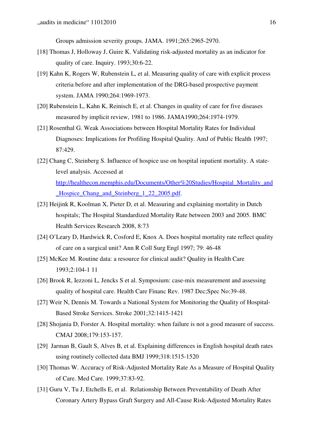Groups admission severity groups. JAMA. 1991;265:2965-2970.

- [18] Thomas J, Holloway J, Guire K. Validating risk-adjusted mortality as an indicator for quality of care. Inquiry. 1993;30:6-22.
- [19] Kahn K, Rogers W, Rubenstein L, et al. Measuring quality of care with explicit process criteria before and after implementation of the DRG-based prospective payment system. JAMA 1990;264:1969-1973.
- [20] Rubenstein L, Kahn K, Reinisch E, et al. Changes in quality of care for five diseases measured by implicit review, 1981 to 1986. JAMA1990;264:1974-1979.
- [21] Rosenthal G. Weak Associations between Hospital Mortality Rates for Individual Diagnoses: Implications for Profiling Hospital Quality. AmJ of Public Health 1997; 87:429.
- [22] Chang C, Steinberg S. Influence of hospice use on hospital inpatient mortality. A statelevel analysis. Accessed at http://healthecon.memphis.edu/Documents/Other%20Studies/Hospital\_Mortality\_and Hospice Chang\_and Steinberg 1 22 2005.pdf.
- [23] Heijink R, Koolman X, Pieter D, et al. Measuring and explaining mortality in Dutch hospitals; The Hospital Standardized Mortality Rate between 2003 and 2005. BMC Health Services Research 2008, 8:73
- [24] O'Leary D, Hardwick R, Cosford E, Knox A. Does hospital mortality rate reflect quality of care on a surgical unit? Ann R Coll Surg Engl 1997; 79: 46-48
- [25] McKee M. Routine data: a resource for clinical audit? Quality in Health Care 1993;2:104-1 11
- [26] Brook R, Iezzoni L, Jencks S et al. Symposium: case-mix measurement and assessing quality of hospital care. Health Care Financ Rev. 1987 Dec;Spec No:39-48.
- [27] Weir N, Dennis M. Towards a National System for Monitoring the Quality of Hospital-Based Stroke Services. Stroke 2001;32:1415-1421
- [28] Shojania D, Forster A. Hospital mortality: when failure is not a good measure of success. CMAJ 2008;179:153-157.
- [29] Jarman B, Gault S, Alves B, et al. Explaining differences in English hospital death rates using routinely collected data BMJ 1999;318:1515-1520
- [30] Thomas W. Accuracy of Risk-Adjusted Mortality Rate As a Measure of Hospital Quality of Care. Med Care. 1999;37:83-92.
- [31] Guru V, Tu J, Etchells E, et al. Relationship Between Preventability of Death After Coronary Artery Bypass Graft Surgery and All-Cause Risk-Adjusted Mortality Rates